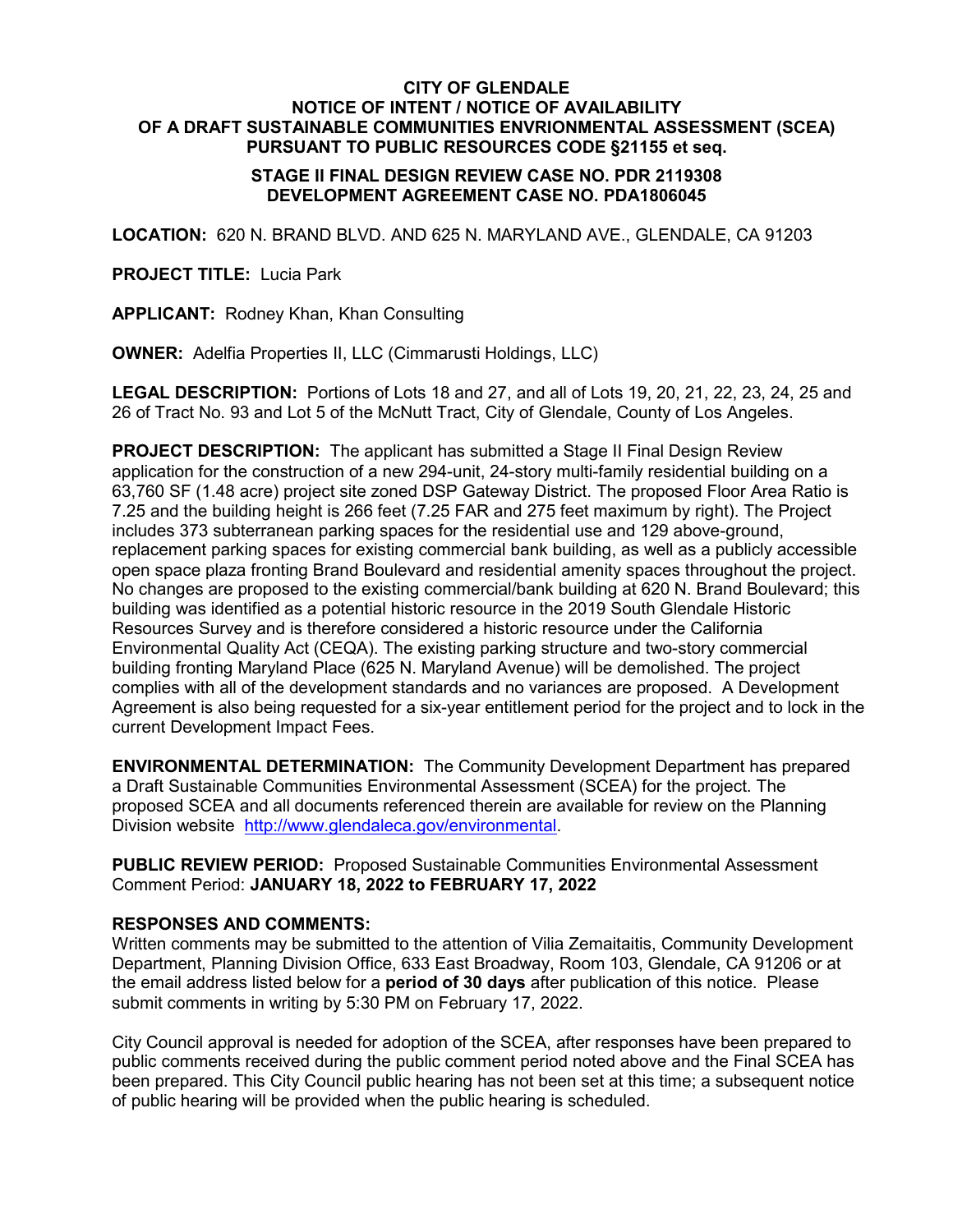## **CITY OF GLENDALE NOTICE OF INTENT / NOTICE OF AVAILABILITY OF A DRAFT SUSTAINABLE COMMUNITIES ENVRIONMENTAL ASSESSMENT (SCEA) PURSUANT TO PUBLIC RESOURCES CODE §21155 et seq.**

## **STAGE II FINAL DESIGN REVIEW CASE NO. PDR 2119308 DEVELOPMENT AGREEMENT CASE NO. PDA1806045**

**LOCATION:** 620 N. BRAND BLVD. AND 625 N. MARYLAND AVE., GLENDALE, CA 91203

**PROJECT TITLE:** Lucia Park

**APPLICANT:** Rodney Khan, Khan Consulting

**OWNER:** Adelfia Properties II, LLC (Cimmarusti Holdings, LLC)

**LEGAL DESCRIPTION:** Portions of Lots 18 and 27, and all of Lots 19, 20, 21, 22, 23, 24, 25 and 26 of Tract No. 93 and Lot 5 of the McNutt Tract, City of Glendale, County of Los Angeles.

**PROJECT DESCRIPTION:** The applicant has submitted a Stage II Final Design Review application for the construction of a new 294-unit, 24-story multi-family residential building on a 63,760 SF (1.48 acre) project site zoned DSP Gateway District. The proposed Floor Area Ratio is 7.25 and the building height is 266 feet (7.25 FAR and 275 feet maximum by right). The Project includes 373 subterranean parking spaces for the residential use and 129 above-ground, replacement parking spaces for existing commercial bank building, as well as a publicly accessible open space plaza fronting Brand Boulevard and residential amenity spaces throughout the project. No changes are proposed to the existing commercial/bank building at 620 N. Brand Boulevard; this building was identified as a potential historic resource in the 2019 South Glendale Historic Resources Survey and is therefore considered a historic resource under the California Environmental Quality Act (CEQA). The existing parking structure and two-story commercial building fronting Maryland Place (625 N. Maryland Avenue) will be demolished. The project complies with all of the development standards and no variances are proposed. A Development Agreement is also being requested for a six-year entitlement period for the project and to lock in the current Development Impact Fees.

**ENVIRONMENTAL DETERMINATION:** The Community Development Department has prepared a Draft Sustainable Communities Environmental Assessment (SCEA) for the project. The proposed SCEA and all documents referenced therein are available for review on the Planning Division website [http://www.glendaleca.gov/environmental.](http://www.glendaleca.gov/government/departments/community-development/planning-division/current-projects/environmental-review)

**PUBLIC REVIEW PERIOD:** Proposed Sustainable Communities Environmental Assessment Comment Period: **JANUARY 18, 2022 to FEBRUARY 17, 2022**

## **RESPONSES AND COMMENTS:**

Written comments may be submitted to the attention of Vilia Zemaitaitis, Community Development Department, Planning Division Office, 633 East Broadway, Room 103, Glendale, CA 91206 or at the email address listed below for a **period of 30 days** after publication of this notice. Please submit comments in writing by 5:30 PM on February 17, 2022.

City Council approval is needed for adoption of the SCEA, after responses have been prepared to public comments received during the public comment period noted above and the Final SCEA has been prepared. This City Council public hearing has not been set at this time; a subsequent notice of public hearing will be provided when the public hearing is scheduled.